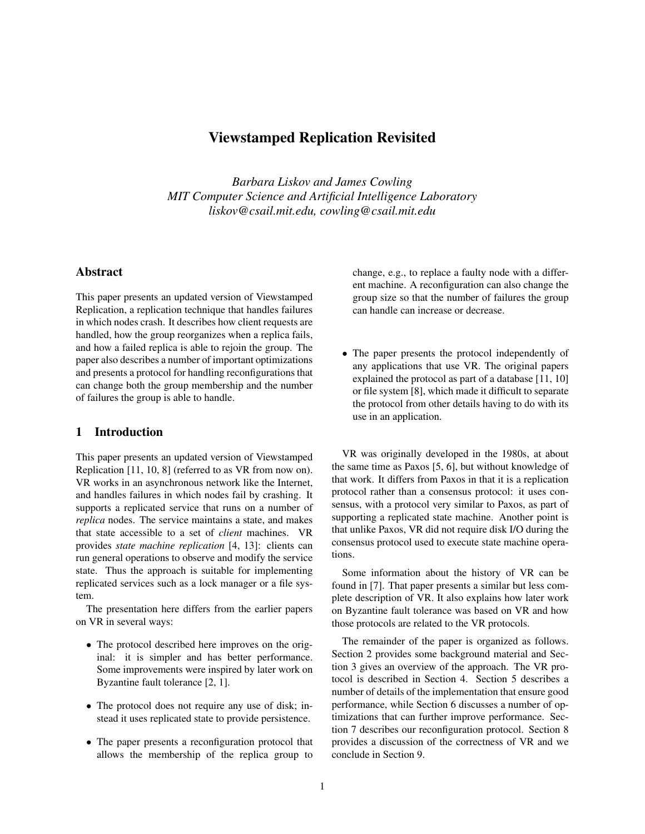# Viewstamped Replication Revisited

*Barbara Liskov and James Cowling MIT Computer Science and Artificial Intelligence Laboratory liskov@csail.mit.edu, cowling@csail.mit.edu*

## Abstract

This paper presents an updated version of Viewstamped Replication, a replication technique that handles failures in which nodes crash. It describes how client requests are handled, how the group reorganizes when a replica fails, and how a failed replica is able to rejoin the group. The paper also describes a number of important optimizations and presents a protocol for handling reconfigurations that can change both the group membership and the number of failures the group is able to handle.

## 1 Introduction

This paper presents an updated version of Viewstamped Replication [11, 10, 8] (referred to as VR from now on). VR works in an asynchronous network like the Internet, and handles failures in which nodes fail by crashing. It supports a replicated service that runs on a number of *replica* nodes. The service maintains a state, and makes that state accessible to a set of *client* machines. VR provides *state machine replication* [4, 13]: clients can run general operations to observe and modify the service state. Thus the approach is suitable for implementing replicated services such as a lock manager or a file system.

The presentation here differs from the earlier papers on VR in several ways:

- The protocol described here improves on the original: it is simpler and has better performance. Some improvements were inspired by later work on Byzantine fault tolerance [2, 1].
- The protocol does not require any use of disk; instead it uses replicated state to provide persistence.
- The paper presents a reconfiguration protocol that allows the membership of the replica group to

change, e.g., to replace a faulty node with a different machine. A reconfiguration can also change the group size so that the number of failures the group can handle can increase or decrease.

• The paper presents the protocol independently of any applications that use VR. The original papers explained the protocol as part of a database [11, 10] or file system [8], which made it difficult to separate the protocol from other details having to do with its use in an application.

VR was originally developed in the 1980s, at about the same time as Paxos [5, 6], but without knowledge of that work. It differs from Paxos in that it is a replication protocol rather than a consensus protocol: it uses consensus, with a protocol very similar to Paxos, as part of supporting a replicated state machine. Another point is that unlike Paxos, VR did not require disk I/O during the consensus protocol used to execute state machine operations.

Some information about the history of VR can be found in [7]. That paper presents a similar but less complete description of VR. It also explains how later work on Byzantine fault tolerance was based on VR and how those protocols are related to the VR protocols.

The remainder of the paper is organized as follows. Section 2 provides some background material and Section 3 gives an overview of the approach. The VR protocol is described in Section 4. Section 5 describes a number of details of the implementation that ensure good performance, while Section 6 discusses a number of optimizations that can further improve performance. Section 7 describes our reconfiguration protocol. Section 8 provides a discussion of the correctness of VR and we conclude in Section 9.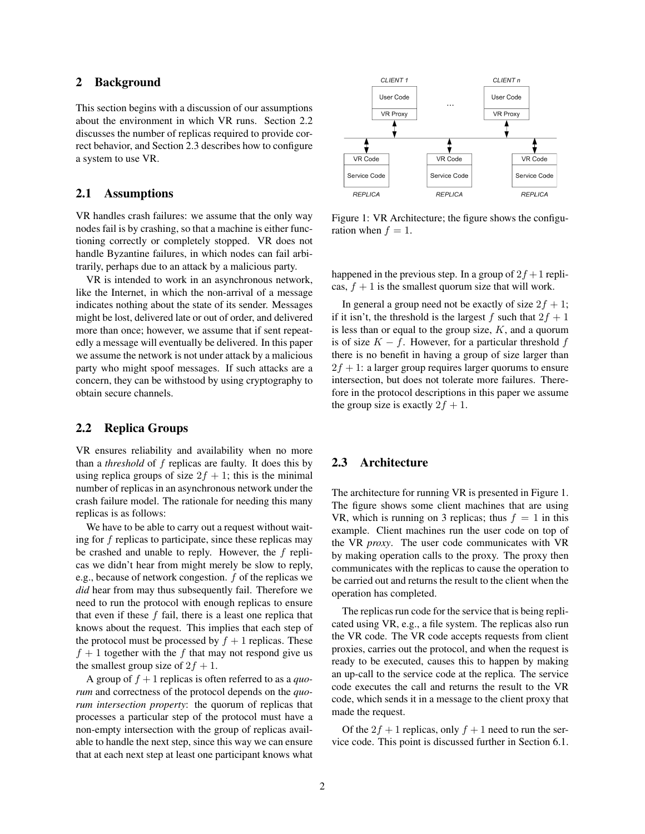## 2 Background

This section begins with a discussion of our assumptions about the environment in which VR runs. Section 2.2 discusses the number of replicas required to provide correct behavior, and Section 2.3 describes how to configure a system to use VR.

#### 2.1 Assumptions

VR handles crash failures: we assume that the only way nodes fail is by crashing, so that a machine is either functioning correctly or completely stopped. VR does not handle Byzantine failures, in which nodes can fail arbitrarily, perhaps due to an attack by a malicious party.

VR is intended to work in an asynchronous network, like the Internet, in which the non-arrival of a message indicates nothing about the state of its sender. Messages might be lost, delivered late or out of order, and delivered more than once; however, we assume that if sent repeatedly a message will eventually be delivered. In this paper we assume the network is not under attack by a malicious party who might spoof messages. If such attacks are a concern, they can be withstood by using cryptography to obtain secure channels.

## 2.2 Replica Groups

VR ensures reliability and availability when no more than a *threshold* of f replicas are faulty. It does this by using replica groups of size  $2f + 1$ ; this is the minimal number of replicas in an asynchronous network under the crash failure model. The rationale for needing this many replicas is as follows:

We have to be able to carry out a request without waiting for f replicas to participate, since these replicas may be crashed and unable to reply. However, the  $f$  replicas we didn't hear from might merely be slow to reply, e.g., because of network congestion. f of the replicas we *did* hear from may thus subsequently fail. Therefore we need to run the protocol with enough replicas to ensure that even if these  $f$  fail, there is a least one replica that knows about the request. This implies that each step of the protocol must be processed by  $f + 1$  replicas. These  $f + 1$  together with the f that may not respond give us the smallest group size of  $2f + 1$ .

A group of f + 1 replicas is often referred to as a *quorum* and correctness of the protocol depends on the *quorum intersection property*: the quorum of replicas that processes a particular step of the protocol must have a non-empty intersection with the group of replicas available to handle the next step, since this way we can ensure that at each next step at least one participant knows what



Figure 1: VR Architecture; the figure shows the configuration when  $f = 1$ .

happened in the previous step. In a group of  $2f + 1$  replicas,  $f + 1$  is the smallest quorum size that will work.

In general a group need not be exactly of size  $2f + 1$ ; if it isn't, the threshold is the largest f such that  $2f + 1$ is less than or equal to the group size,  $K$ , and a quorum is of size  $K - f$ . However, for a particular threshold f there is no benefit in having a group of size larger than  $2f + 1$ : a larger group requires larger quorums to ensure intersection, but does not tolerate more failures. Therefore in the protocol descriptions in this paper we assume the group size is exactly  $2f + 1$ .

## 2.3 Architecture

The architecture for running VR is presented in Figure 1. The figure shows some client machines that are using VR, which is running on 3 replicas; thus  $f = 1$  in this example. Client machines run the user code on top of the VR *proxy*. The user code communicates with VR by making operation calls to the proxy. The proxy then communicates with the replicas to cause the operation to be carried out and returns the result to the client when the operation has completed.

The replicas run code for the service that is being replicated using VR, e.g., a file system. The replicas also run the VR code. The VR code accepts requests from client proxies, carries out the protocol, and when the request is ready to be executed, causes this to happen by making an up-call to the service code at the replica. The service code executes the call and returns the result to the VR code, which sends it in a message to the client proxy that made the request.

Of the  $2f + 1$  replicas, only  $f + 1$  need to run the service code. This point is discussed further in Section 6.1.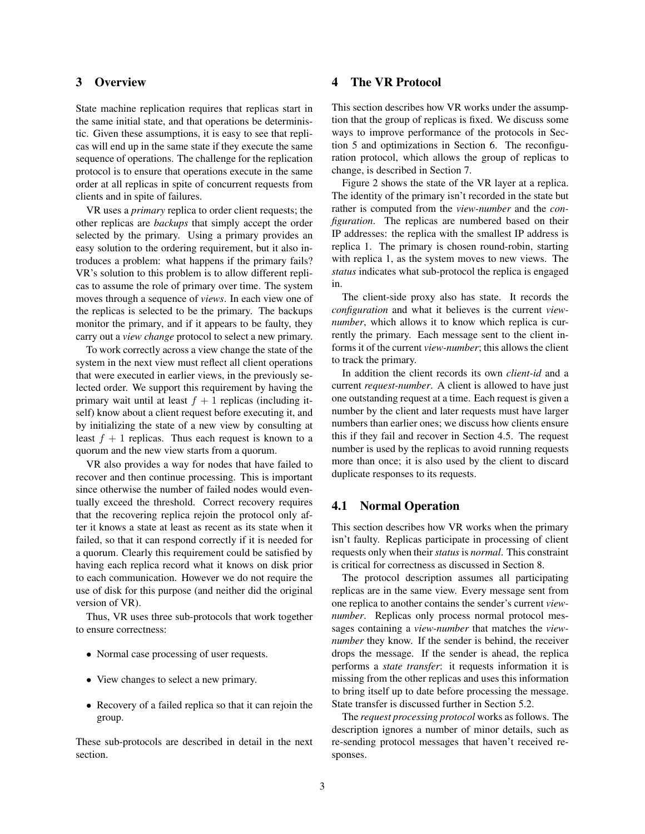## 3 Overview

State machine replication requires that replicas start in the same initial state, and that operations be deterministic. Given these assumptions, it is easy to see that replicas will end up in the same state if they execute the same sequence of operations. The challenge for the replication protocol is to ensure that operations execute in the same order at all replicas in spite of concurrent requests from clients and in spite of failures.

VR uses a *primary* replica to order client requests; the other replicas are *backups* that simply accept the order selected by the primary. Using a primary provides an easy solution to the ordering requirement, but it also introduces a problem: what happens if the primary fails? VR's solution to this problem is to allow different replicas to assume the role of primary over time. The system moves through a sequence of *views*. In each view one of the replicas is selected to be the primary. The backups monitor the primary, and if it appears to be faulty, they carry out a *view change* protocol to select a new primary.

To work correctly across a view change the state of the system in the next view must reflect all client operations that were executed in earlier views, in the previously selected order. We support this requirement by having the primary wait until at least  $f + 1$  replicas (including itself) know about a client request before executing it, and by initializing the state of a new view by consulting at least  $f + 1$  replicas. Thus each request is known to a quorum and the new view starts from a quorum.

VR also provides a way for nodes that have failed to recover and then continue processing. This is important since otherwise the number of failed nodes would eventually exceed the threshold. Correct recovery requires that the recovering replica rejoin the protocol only after it knows a state at least as recent as its state when it failed, so that it can respond correctly if it is needed for a quorum. Clearly this requirement could be satisfied by having each replica record what it knows on disk prior to each communication. However we do not require the use of disk for this purpose (and neither did the original version of VR).

Thus, VR uses three sub-protocols that work together to ensure correctness:

- Normal case processing of user requests.
- View changes to select a new primary.
- Recovery of a failed replica so that it can rejoin the group.

These sub-protocols are described in detail in the next section.

## 4 The VR Protocol

This section describes how VR works under the assumption that the group of replicas is fixed. We discuss some ways to improve performance of the protocols in Section 5 and optimizations in Section 6. The reconfiguration protocol, which allows the group of replicas to change, is described in Section 7.

Figure 2 shows the state of the VR layer at a replica. The identity of the primary isn't recorded in the state but rather is computed from the *view-number* and the *configuration*. The replicas are numbered based on their IP addresses: the replica with the smallest IP address is replica 1. The primary is chosen round-robin, starting with replica 1, as the system moves to new views. The *status* indicates what sub-protocol the replica is engaged in.

The client-side proxy also has state. It records the *configuration* and what it believes is the current *viewnumber*, which allows it to know which replica is currently the primary. Each message sent to the client informs it of the current *view-number*; this allows the client to track the primary.

In addition the client records its own *client-id* and a current *request-number*. A client is allowed to have just one outstanding request at a time. Each request is given a number by the client and later requests must have larger numbers than earlier ones; we discuss how clients ensure this if they fail and recover in Section 4.5. The request number is used by the replicas to avoid running requests more than once; it is also used by the client to discard duplicate responses to its requests.

#### 4.1 Normal Operation

This section describes how VR works when the primary isn't faulty. Replicas participate in processing of client requests only when their *status* is *normal*. This constraint is critical for correctness as discussed in Section 8.

The protocol description assumes all participating replicas are in the same view. Every message sent from one replica to another contains the sender's current *viewnumber*. Replicas only process normal protocol messages containing a *view-number* that matches the *viewnumber* they know. If the sender is behind, the receiver drops the message. If the sender is ahead, the replica performs a *state transfer*: it requests information it is missing from the other replicas and uses this information to bring itself up to date before processing the message. State transfer is discussed further in Section 5.2.

The *request processing protocol* works as follows. The description ignores a number of minor details, such as re-sending protocol messages that haven't received responses.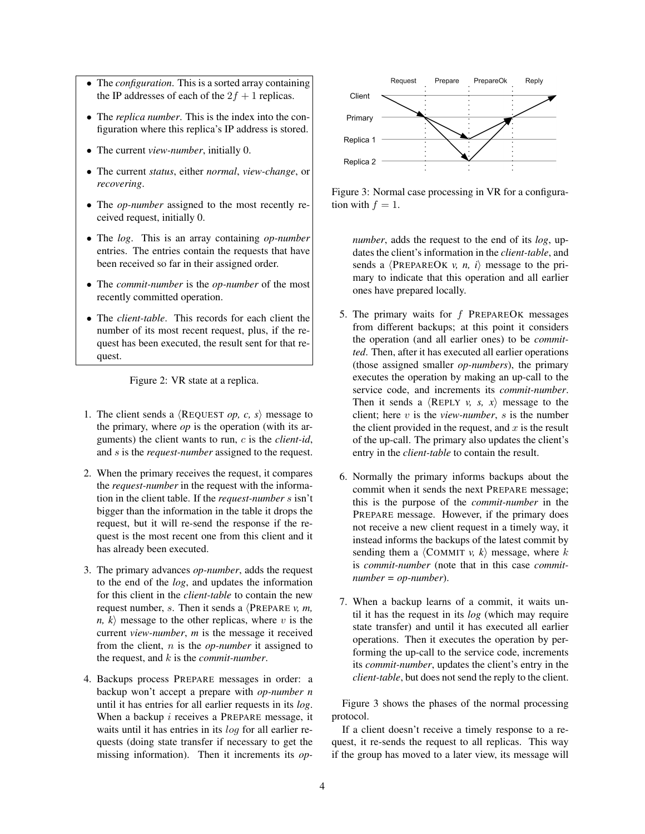- The *configuration*. This is a sorted array containing the IP addresses of each of the  $2f + 1$  replicas.
- The *replica number*. This is the index into the configuration where this replica's IP address is stored.
- The current *view-number*, initially 0.
- The current *status*, either *normal*, *view-change*, or *recovering*.
- The *op-number* assigned to the most recently received request, initially 0.
- The *log*. This is an array containing *op-number* entries. The entries contain the requests that have been received so far in their assigned order.
- The *commit-number* is the *op-number* of the most recently committed operation.
- The *client-table*. This records for each client the number of its most recent request, plus, if the request has been executed, the result sent for that request.

Figure 2: VR state at a replica.

- 1. The client sends a  $\langle$ REQUEST *op, c, s* $\rangle$  message to the primary, where *op* is the operation (with its arguments) the client wants to run, c is the *client-id*, and s is the *request-number* assigned to the request.
- 2. When the primary receives the request, it compares the *request-number* in the request with the information in the client table. If the *request-number* s isn't bigger than the information in the table it drops the request, but it will re-send the response if the request is the most recent one from this client and it has already been executed.
- 3. The primary advances *op-number*, adds the request to the end of the *log*, and updates the information for this client in the *client-table* to contain the new request number, s. Then it sends a  $\langle$ PREPARE  $\nu$ , *m*,  $n, k$  message to the other replicas, where v is the current *view-number*, *m* is the message it received from the client, n is the *op-number* it assigned to the request, and k is the *commit-number*.
- 4. Backups process PREPARE messages in order: a backup won't accept a prepare with *op-number n* until it has entries for all earlier requests in its *log*. When a backup  $i$  receives a PREPARE message, it waits until it has entries in its log for all earlier requests (doing state transfer if necessary to get the missing information). Then it increments its *op-*



Figure 3: Normal case processing in VR for a configuration with  $f = 1$ .

*number*, adds the request to the end of its *log*, updates the client's information in the *client-table*, and sends a  $\langle$ PREPAREOK *v, n, i* $\rangle$  message to the primary to indicate that this operation and all earlier ones have prepared locally.

- 5. The primary waits for f PREPAREOK messages from different backups; at this point it considers the operation (and all earlier ones) to be *committed*. Then, after it has executed all earlier operations (those assigned smaller *op-numbers*), the primary executes the operation by making an up-call to the service code, and increments its *commit-number*. Then it sends a  $\langle$ REPLY *v, s, x* $\rangle$  message to the client; here  $v$  is the *view-number*,  $s$  is the number the client provided in the request, and  $x$  is the result of the up-call. The primary also updates the client's entry in the *client-table* to contain the result.
- 6. Normally the primary informs backups about the commit when it sends the next PREPARE message; this is the purpose of the *commit-number* in the PREPARE message. However, if the primary does not receive a new client request in a timely way, it instead informs the backups of the latest commit by sending them a  $\langle$  COMMIT *v, k* $\rangle$  message, where k is *commit-number* (note that in this case *commitnumber = op-number*).
- 7. When a backup learns of a commit, it waits until it has the request in its *log* (which may require state transfer) and until it has executed all earlier operations. Then it executes the operation by performing the up-call to the service code, increments its *commit-number*, updates the client's entry in the *client-table*, but does not send the reply to the client.

Figure 3 shows the phases of the normal processing protocol.

If a client doesn't receive a timely response to a request, it re-sends the request to all replicas. This way if the group has moved to a later view, its message will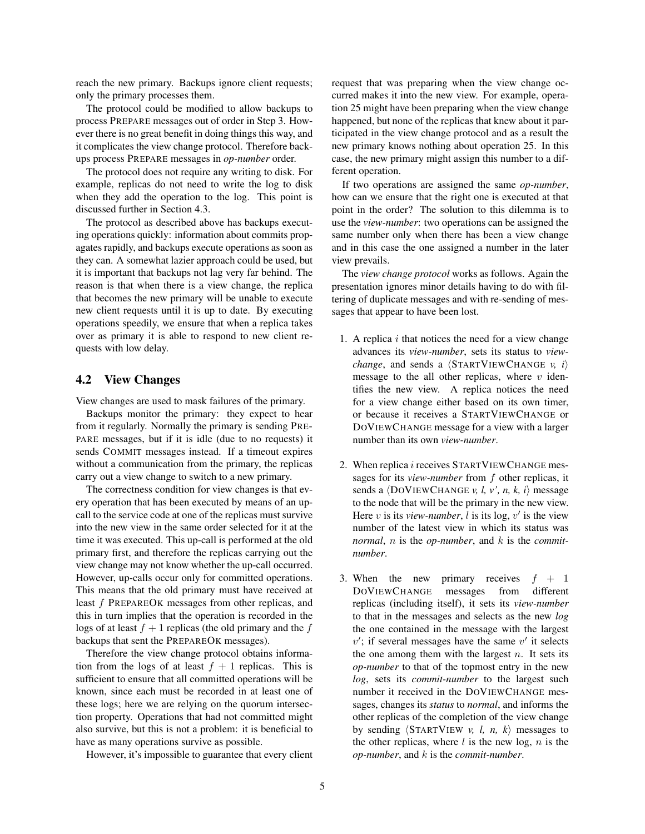reach the new primary. Backups ignore client requests; only the primary processes them.

The protocol could be modified to allow backups to process PREPARE messages out of order in Step 3. However there is no great benefit in doing things this way, and it complicates the view change protocol. Therefore backups process PREPARE messages in *op-number* order.

The protocol does not require any writing to disk. For example, replicas do not need to write the log to disk when they add the operation to the log. This point is discussed further in Section 4.3.

The protocol as described above has backups executing operations quickly: information about commits propagates rapidly, and backups execute operations as soon as they can. A somewhat lazier approach could be used, but it is important that backups not lag very far behind. The reason is that when there is a view change, the replica that becomes the new primary will be unable to execute new client requests until it is up to date. By executing operations speedily, we ensure that when a replica takes over as primary it is able to respond to new client requests with low delay.

#### 4.2 View Changes

View changes are used to mask failures of the primary.

Backups monitor the primary: they expect to hear from it regularly. Normally the primary is sending PRE-PARE messages, but if it is idle (due to no requests) it sends COMMIT messages instead. If a timeout expires without a communication from the primary, the replicas carry out a view change to switch to a new primary.

The correctness condition for view changes is that every operation that has been executed by means of an upcall to the service code at one of the replicas must survive into the new view in the same order selected for it at the time it was executed. This up-call is performed at the old primary first, and therefore the replicas carrying out the view change may not know whether the up-call occurred. However, up-calls occur only for committed operations. This means that the old primary must have received at least f PREPAREOK messages from other replicas, and this in turn implies that the operation is recorded in the logs of at least  $f + 1$  replicas (the old primary and the  $f$ backups that sent the PREPAREOK messages).

Therefore the view change protocol obtains information from the logs of at least  $f + 1$  replicas. This is sufficient to ensure that all committed operations will be known, since each must be recorded in at least one of these logs; here we are relying on the quorum intersection property. Operations that had not committed might also survive, but this is not a problem: it is beneficial to have as many operations survive as possible.

However, it's impossible to guarantee that every client

request that was preparing when the view change occurred makes it into the new view. For example, operation 25 might have been preparing when the view change happened, but none of the replicas that knew about it participated in the view change protocol and as a result the new primary knows nothing about operation 25. In this case, the new primary might assign this number to a different operation.

If two operations are assigned the same *op-number*, how can we ensure that the right one is executed at that point in the order? The solution to this dilemma is to use the *view-number*: two operations can be assigned the same number only when there has been a view change and in this case the one assigned a number in the later view prevails.

The *view change protocol* works as follows. Again the presentation ignores minor details having to do with filtering of duplicate messages and with re-sending of messages that appear to have been lost.

- 1. A replica  $i$  that notices the need for a view change advances its *view-number*, sets its status to *viewchange*, and sends a  $\langle$ STARTVIEWCHANGE *v*, *i* $\rangle$ message to the all other replicas, where  $v$  identifies the new view. A replica notices the need for a view change either based on its own timer, or because it receives a STARTVIEWCHANGE or DOVIEWCHANGE message for a view with a larger number than its own *view-number*.
- 2. When replica i receives STARTVIEWCHANGE messages for its *view-number* from f other replicas, it sends a  $\langle$ DOVIEWCHANGE *v, l, v', n, k, i* $\rangle$  message to the node that will be the primary in the new view. Here  $v$  is its *view-number*,  $l$  is its log,  $v'$  is the view number of the latest view in which its status was *normal*, n is the *op-number*, and k is the *commitnumber*.
- 3. When the new primary receives  $f + 1$ DOVIEWCHANGE messages from different replicas (including itself), it sets its *view-number* to that in the messages and selects as the new *log* the one contained in the message with the largest  $v'$ ; if several messages have the same  $v'$  it selects the one among them with the largest  $n$ . It sets its *op-number* to that of the topmost entry in the new *log*, sets its *commit-number* to the largest such number it received in the DOVIEWCHANGE messages, changes its *status* to *normal*, and informs the other replicas of the completion of the view change by sending  $\langle$ STARTVIEW *v, l, n, k* $\rangle$  messages to the other replicas, where  $l$  is the new log,  $n$  is the *op-number*, and k is the *commit-number*.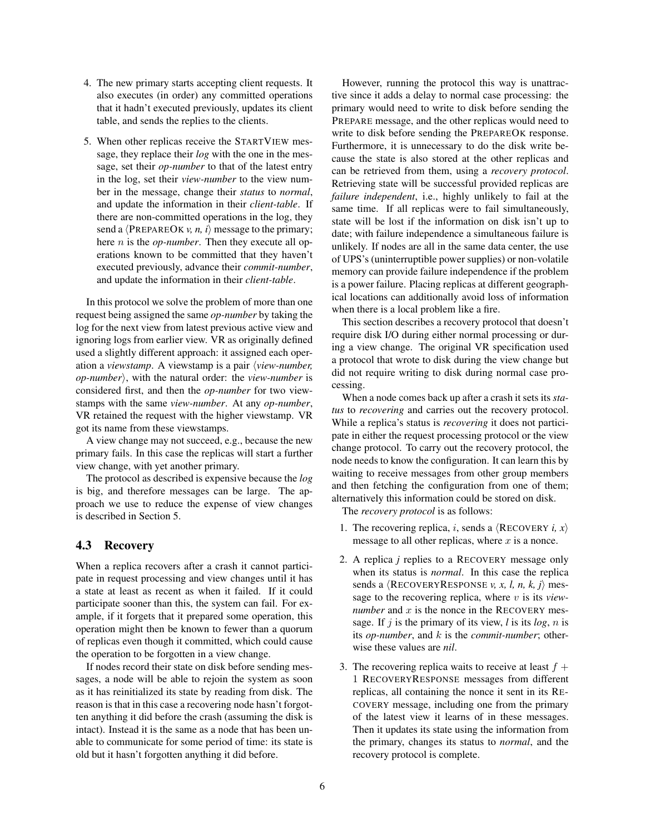- 4. The new primary starts accepting client requests. It also executes (in order) any committed operations that it hadn't executed previously, updates its client table, and sends the replies to the clients.
- 5. When other replicas receive the STARTVIEW message, they replace their *log* with the one in the message, set their *op-number* to that of the latest entry in the log, set their *view-number* to the view number in the message, change their *status* to *normal*, and update the information in their *client-table*. If there are non-committed operations in the log, they send a  $\langle$ PREPAREOK *v, n, i* $\rangle$  message to the primary; here n is the *op-number*. Then they execute all operations known to be committed that they haven't executed previously, advance their *commit-number*, and update the information in their *client-table*.

In this protocol we solve the problem of more than one request being assigned the same *op-number* by taking the log for the next view from latest previous active view and ignoring logs from earlier view. VR as originally defined used a slightly different approach: it assigned each operation a *viewstamp*. A viewstamp is a pair  $\langle$ *view-number*, *op-number*), with the natural order: the *view-number* is considered first, and then the *op-number* for two viewstamps with the same *view-number*. At any *op-number*, VR retained the request with the higher viewstamp. VR got its name from these viewstamps.

A view change may not succeed, e.g., because the new primary fails. In this case the replicas will start a further view change, with yet another primary.

The protocol as described is expensive because the *log* is big, and therefore messages can be large. The approach we use to reduce the expense of view changes is described in Section 5.

#### 4.3 Recovery

When a replica recovers after a crash it cannot participate in request processing and view changes until it has a state at least as recent as when it failed. If it could participate sooner than this, the system can fail. For example, if it forgets that it prepared some operation, this operation might then be known to fewer than a quorum of replicas even though it committed, which could cause the operation to be forgotten in a view change.

If nodes record their state on disk before sending messages, a node will be able to rejoin the system as soon as it has reinitialized its state by reading from disk. The reason is that in this case a recovering node hasn't forgotten anything it did before the crash (assuming the disk is intact). Instead it is the same as a node that has been unable to communicate for some period of time: its state is old but it hasn't forgotten anything it did before.

However, running the protocol this way is unattractive since it adds a delay to normal case processing: the primary would need to write to disk before sending the PREPARE message, and the other replicas would need to write to disk before sending the PREPAREOK response. Furthermore, it is unnecessary to do the disk write because the state is also stored at the other replicas and can be retrieved from them, using a *recovery protocol*. Retrieving state will be successful provided replicas are *failure independent*, i.e., highly unlikely to fail at the same time. If all replicas were to fail simultaneously, state will be lost if the information on disk isn't up to date; with failure independence a simultaneous failure is unlikely. If nodes are all in the same data center, the use of UPS's (uninterruptible power supplies) or non-volatile memory can provide failure independence if the problem is a power failure. Placing replicas at different geographical locations can additionally avoid loss of information when there is a local problem like a fire.

This section describes a recovery protocol that doesn't require disk I/O during either normal processing or during a view change. The original VR specification used a protocol that wrote to disk during the view change but did not require writing to disk during normal case processing.

When a node comes back up after a crash it sets its *status* to *recovering* and carries out the recovery protocol. While a replica's status is *recovering* it does not participate in either the request processing protocol or the view change protocol. To carry out the recovery protocol, the node needs to know the configuration. It can learn this by waiting to receive messages from other group members and then fetching the configuration from one of them; alternatively this information could be stored on disk.

The *recovery protocol* is as follows:

- 1. The recovering replica, *i*, sends a  $\langle$ RECOVERY *i*, *x* $\rangle$ message to all other replicas, where  $x$  is a nonce.
- 2. A replica *j* replies to a RECOVERY message only when its status is *normal*. In this case the replica sends a  $\langle$ RECOVERYRESPONSE *v, x, l, n, k, j* $\rangle$  message to the recovering replica, where v is its *view* $number$  and  $x$  is the nonce in the RECOVERY message. If  $j$  is the primary of its view,  $l$  is its  $log, n$  is its *op-number*, and k is the *commit-number*; otherwise these values are *nil*.
- 3. The recovering replica waits to receive at least  $f +$ 1 RECOVERYRESPONSE messages from different replicas, all containing the nonce it sent in its RE-COVERY message, including one from the primary of the latest view it learns of in these messages. Then it updates its state using the information from the primary, changes its status to *normal*, and the recovery protocol is complete.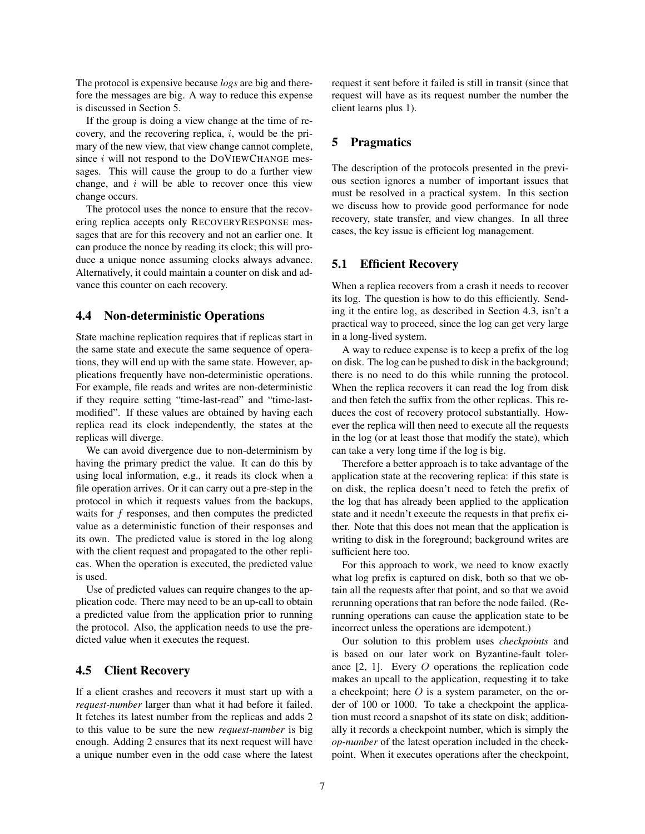The protocol is expensive because *logs* are big and therefore the messages are big. A way to reduce this expense is discussed in Section 5.

If the group is doing a view change at the time of recovery, and the recovering replica,  $i$ , would be the primary of the new view, that view change cannot complete, since  $i$  will not respond to the DOVIEWCHANGE messages. This will cause the group to do a further view change, and  $i$  will be able to recover once this view change occurs.

The protocol uses the nonce to ensure that the recovering replica accepts only RECOVERYRESPONSE messages that are for this recovery and not an earlier one. It can produce the nonce by reading its clock; this will produce a unique nonce assuming clocks always advance. Alternatively, it could maintain a counter on disk and advance this counter on each recovery.

## 4.4 Non-deterministic Operations

State machine replication requires that if replicas start in the same state and execute the same sequence of operations, they will end up with the same state. However, applications frequently have non-deterministic operations. For example, file reads and writes are non-deterministic if they require setting "time-last-read" and "time-lastmodified". If these values are obtained by having each replica read its clock independently, the states at the replicas will diverge.

We can avoid divergence due to non-determinism by having the primary predict the value. It can do this by using local information, e.g., it reads its clock when a file operation arrives. Or it can carry out a pre-step in the protocol in which it requests values from the backups, waits for  $f$  responses, and then computes the predicted value as a deterministic function of their responses and its own. The predicted value is stored in the log along with the client request and propagated to the other replicas. When the operation is executed, the predicted value is used.

Use of predicted values can require changes to the application code. There may need to be an up-call to obtain a predicted value from the application prior to running the protocol. Also, the application needs to use the predicted value when it executes the request.

## 4.5 Client Recovery

If a client crashes and recovers it must start up with a *request-number* larger than what it had before it failed. It fetches its latest number from the replicas and adds 2 to this value to be sure the new *request-number* is big enough. Adding 2 ensures that its next request will have a unique number even in the odd case where the latest request it sent before it failed is still in transit (since that request will have as its request number the number the client learns plus 1).

## 5 Pragmatics

The description of the protocols presented in the previous section ignores a number of important issues that must be resolved in a practical system. In this section we discuss how to provide good performance for node recovery, state transfer, and view changes. In all three cases, the key issue is efficient log management.

#### 5.1 Efficient Recovery

When a replica recovers from a crash it needs to recover its log. The question is how to do this efficiently. Sending it the entire log, as described in Section 4.3, isn't a practical way to proceed, since the log can get very large in a long-lived system.

A way to reduce expense is to keep a prefix of the log on disk. The log can be pushed to disk in the background; there is no need to do this while running the protocol. When the replica recovers it can read the log from disk and then fetch the suffix from the other replicas. This reduces the cost of recovery protocol substantially. However the replica will then need to execute all the requests in the log (or at least those that modify the state), which can take a very long time if the log is big.

Therefore a better approach is to take advantage of the application state at the recovering replica: if this state is on disk, the replica doesn't need to fetch the prefix of the log that has already been applied to the application state and it needn't execute the requests in that prefix either. Note that this does not mean that the application is writing to disk in the foreground; background writes are sufficient here too.

For this approach to work, we need to know exactly what log prefix is captured on disk, both so that we obtain all the requests after that point, and so that we avoid rerunning operations that ran before the node failed. (Rerunning operations can cause the application state to be incorrect unless the operations are idempotent.)

Our solution to this problem uses *checkpoints* and is based on our later work on Byzantine-fault tolerance [2, 1]. Every O operations the replication code makes an upcall to the application, requesting it to take a checkpoint; here  $O$  is a system parameter, on the order of 100 or 1000. To take a checkpoint the application must record a snapshot of its state on disk; additionally it records a checkpoint number, which is simply the *op-number* of the latest operation included in the checkpoint. When it executes operations after the checkpoint,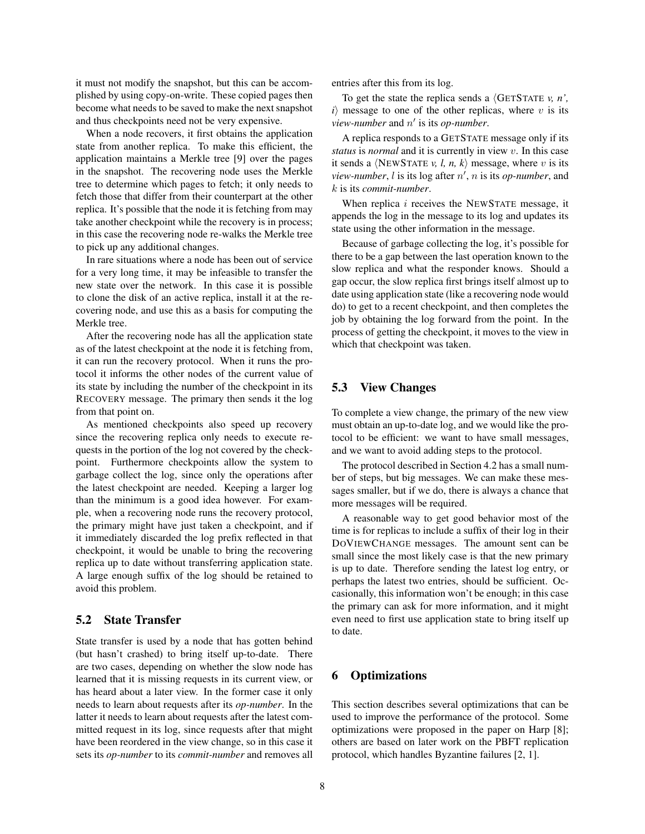it must not modify the snapshot, but this can be accomplished by using copy-on-write. These copied pages then become what needs to be saved to make the next snapshot and thus checkpoints need not be very expensive.

When a node recovers, it first obtains the application state from another replica. To make this efficient, the application maintains a Merkle tree [9] over the pages in the snapshot. The recovering node uses the Merkle tree to determine which pages to fetch; it only needs to fetch those that differ from their counterpart at the other replica. It's possible that the node it is fetching from may take another checkpoint while the recovery is in process; in this case the recovering node re-walks the Merkle tree to pick up any additional changes.

In rare situations where a node has been out of service for a very long time, it may be infeasible to transfer the new state over the network. In this case it is possible to clone the disk of an active replica, install it at the recovering node, and use this as a basis for computing the Merkle tree.

After the recovering node has all the application state as of the latest checkpoint at the node it is fetching from, it can run the recovery protocol. When it runs the protocol it informs the other nodes of the current value of its state by including the number of the checkpoint in its RECOVERY message. The primary then sends it the log from that point on.

As mentioned checkpoints also speed up recovery since the recovering replica only needs to execute requests in the portion of the log not covered by the checkpoint. Furthermore checkpoints allow the system to garbage collect the log, since only the operations after the latest checkpoint are needed. Keeping a larger log than the minimum is a good idea however. For example, when a recovering node runs the recovery protocol, the primary might have just taken a checkpoint, and if it immediately discarded the log prefix reflected in that checkpoint, it would be unable to bring the recovering replica up to date without transferring application state. A large enough suffix of the log should be retained to avoid this problem.

## 5.2 State Transfer

State transfer is used by a node that has gotten behind (but hasn't crashed) to bring itself up-to-date. There are two cases, depending on whether the slow node has learned that it is missing requests in its current view, or has heard about a later view. In the former case it only needs to learn about requests after its *op-number*. In the latter it needs to learn about requests after the latest committed request in its log, since requests after that might have been reordered in the view change, so in this case it sets its *op-number* to its *commit-number* and removes all entries after this from its log.

To get the state the replica sends a  $\langle$  GETSTATE *v, n'*,  $i$  message to one of the other replicas, where v is its view-number and  $n'$  is its *op-number*.

A replica responds to a GETSTATE message only if its *status* is *normal* and it is currently in view v. In this case it sends a  $\langle$ NEWSTATE *v, l, n, k* $\rangle$  message, where *v* is its view-number, *l* is its log after  $n'$ , *n* is its *op-number*, and k is its *commit-number*.

When replica i receives the NEWSTATE message, it appends the log in the message to its log and updates its state using the other information in the message.

Because of garbage collecting the log, it's possible for there to be a gap between the last operation known to the slow replica and what the responder knows. Should a gap occur, the slow replica first brings itself almost up to date using application state (like a recovering node would do) to get to a recent checkpoint, and then completes the job by obtaining the log forward from the point. In the process of getting the checkpoint, it moves to the view in which that checkpoint was taken.

## 5.3 View Changes

To complete a view change, the primary of the new view must obtain an up-to-date log, and we would like the protocol to be efficient: we want to have small messages, and we want to avoid adding steps to the protocol.

The protocol described in Section 4.2 has a small number of steps, but big messages. We can make these messages smaller, but if we do, there is always a chance that more messages will be required.

A reasonable way to get good behavior most of the time is for replicas to include a suffix of their log in their DOVIEWCHANGE messages. The amount sent can be small since the most likely case is that the new primary is up to date. Therefore sending the latest log entry, or perhaps the latest two entries, should be sufficient. Occasionally, this information won't be enough; in this case the primary can ask for more information, and it might even need to first use application state to bring itself up to date.

## 6 Optimizations

This section describes several optimizations that can be used to improve the performance of the protocol. Some optimizations were proposed in the paper on Harp [8]; others are based on later work on the PBFT replication protocol, which handles Byzantine failures [2, 1].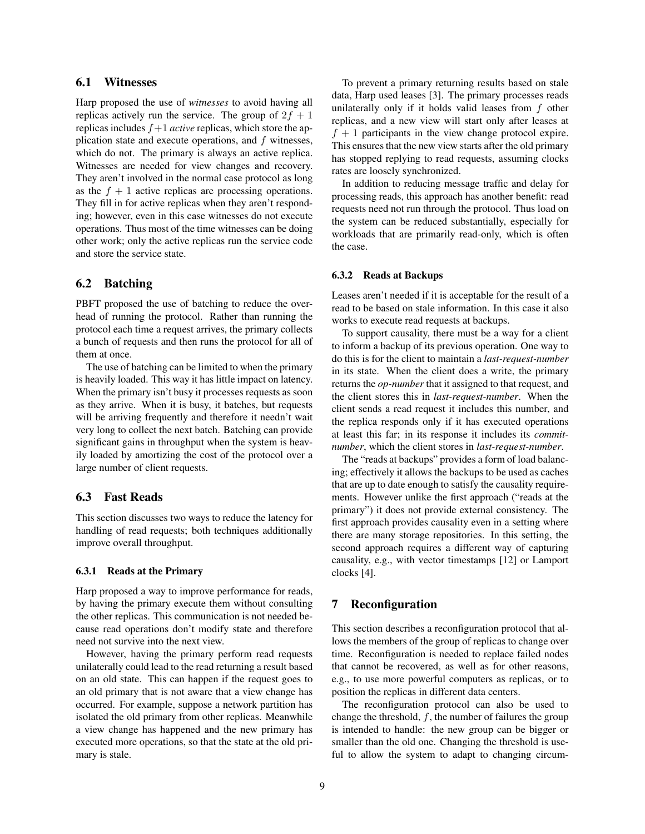## 6.1 Witnesses

Harp proposed the use of *witnesses* to avoid having all replicas actively run the service. The group of  $2f + 1$ replicas includes  $f+1$  *active* replicas, which store the application state and execute operations, and f witnesses, which do not. The primary is always an active replica. Witnesses are needed for view changes and recovery. They aren't involved in the normal case protocol as long as the  $f + 1$  active replicas are processing operations. They fill in for active replicas when they aren't responding; however, even in this case witnesses do not execute operations. Thus most of the time witnesses can be doing other work; only the active replicas run the service code and store the service state.

## 6.2 Batching

PBFT proposed the use of batching to reduce the overhead of running the protocol. Rather than running the protocol each time a request arrives, the primary collects a bunch of requests and then runs the protocol for all of them at once.

The use of batching can be limited to when the primary is heavily loaded. This way it has little impact on latency. When the primary isn't busy it processes requests as soon as they arrive. When it is busy, it batches, but requests will be arriving frequently and therefore it needn't wait very long to collect the next batch. Batching can provide significant gains in throughput when the system is heavily loaded by amortizing the cost of the protocol over a large number of client requests.

#### 6.3 Fast Reads

This section discusses two ways to reduce the latency for handling of read requests; both techniques additionally improve overall throughput.

#### 6.3.1 Reads at the Primary

Harp proposed a way to improve performance for reads, by having the primary execute them without consulting the other replicas. This communication is not needed because read operations don't modify state and therefore need not survive into the next view.

However, having the primary perform read requests unilaterally could lead to the read returning a result based on an old state. This can happen if the request goes to an old primary that is not aware that a view change has occurred. For example, suppose a network partition has isolated the old primary from other replicas. Meanwhile a view change has happened and the new primary has executed more operations, so that the state at the old primary is stale.

To prevent a primary returning results based on stale data, Harp used leases [3]. The primary processes reads unilaterally only if it holds valid leases from f other replicas, and a new view will start only after leases at  $f + 1$  participants in the view change protocol expire. This ensures that the new view starts after the old primary has stopped replying to read requests, assuming clocks rates are loosely synchronized.

In addition to reducing message traffic and delay for processing reads, this approach has another benefit: read requests need not run through the protocol. Thus load on the system can be reduced substantially, especially for workloads that are primarily read-only, which is often the case.

#### 6.3.2 Reads at Backups

Leases aren't needed if it is acceptable for the result of a read to be based on stale information. In this case it also works to execute read requests at backups.

To support causality, there must be a way for a client to inform a backup of its previous operation. One way to do this is for the client to maintain a *last-request-number* in its state. When the client does a write, the primary returns the *op-number* that it assigned to that request, and the client stores this in *last-request-number*. When the client sends a read request it includes this number, and the replica responds only if it has executed operations at least this far; in its response it includes its *commitnumber*, which the client stores in *last-request-number*.

The "reads at backups" provides a form of load balancing; effectively it allows the backups to be used as caches that are up to date enough to satisfy the causality requirements. However unlike the first approach ("reads at the primary") it does not provide external consistency. The first approach provides causality even in a setting where there are many storage repositories. In this setting, the second approach requires a different way of capturing causality, e.g., with vector timestamps [12] or Lamport clocks [4].

## 7 Reconfiguration

This section describes a reconfiguration protocol that allows the members of the group of replicas to change over time. Reconfiguration is needed to replace failed nodes that cannot be recovered, as well as for other reasons, e.g., to use more powerful computers as replicas, or to position the replicas in different data centers.

The reconfiguration protocol can also be used to change the threshold,  $f$ , the number of failures the group is intended to handle: the new group can be bigger or smaller than the old one. Changing the threshold is useful to allow the system to adapt to changing circum-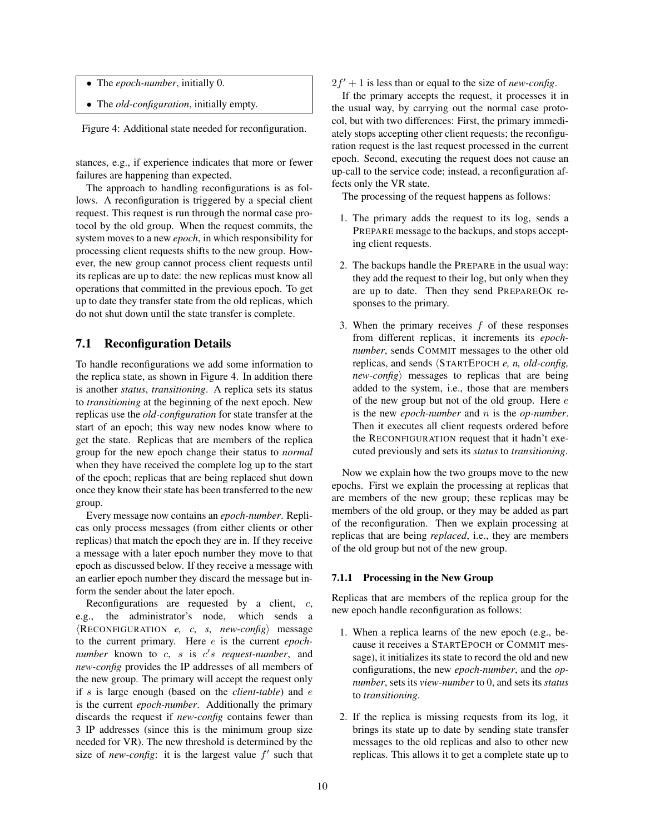- The *epoch-number*, initially 0.
- The *old-configuration*, initially empty.

Figure 4: Additional state needed for reconfiguration.

stances, e.g., if experience indicates that more or fewer failures are happening than expected.

The approach to handling reconfigurations is as follows. A reconfiguration is triggered by a special client request. This request is run through the normal case protocol by the old group. When the request commits, the system moves to a new *epoch*, in which responsibility for processing client requests shifts to the new group. However, the new group cannot process client requests until its replicas are up to date: the new replicas must know all operations that committed in the previous epoch. To get up to date they transfer state from the old replicas, which do not shut down until the state transfer is complete.

#### 7.1 Reconfiguration Details

To handle reconfigurations we add some information to the replica state, as shown in Figure 4. In addition there is another *status*, *transitioning*. A replica sets its status to *transitioning* at the beginning of the next epoch. New replicas use the *old-configuration* for state transfer at the start of an epoch; this way new nodes know where to get the state. Replicas that are members of the replica group for the new epoch change their status to *normal* when they have received the complete log up to the start of the epoch; replicas that are being replaced shut down once they know their state has been transferred to the new group.

Every message now contains an *epoch-number*. Replicas only process messages (from either clients or other replicas) that match the epoch they are in. If they receive a message with a later epoch number they move to that epoch as discussed below. If they receive a message with an earlier epoch number they discard the message but inform the sender about the later epoch.

Reconfigurations are requested by a client,  $c$ , e.g., the administrator's node, which sends a  $\langle$ RECONFIGURATION *e, c, s, new-config* $\rangle$  message to the current primary. Here e is the current *epoch*number known to c, s is c's request-number, and *new-config* provides the IP addresses of all members of the new group. The primary will accept the request only if s is large enough (based on the *client-table*) and e is the current *epoch-number*. Additionally the primary discards the request if *new-config* contains fewer than 3 IP addresses (since this is the minimum group size needed for VR). The new threshold is determined by the size of *new-config*: it is the largest value  $f'$  such that

 $2f' + 1$  is less than or equal to the size of *new-config*.

If the primary accepts the request, it processes it in the usual way, by carrying out the normal case protocol, but with two differences: First, the primary immediately stops accepting other client requests; the reconfiguration request is the last request processed in the current epoch. Second, executing the request does not cause an up-call to the service code; instead, a reconfiguration affects only the VR state.

The processing of the request happens as follows:

- 1. The primary adds the request to its log, sends a PREPARE message to the backups, and stops accepting client requests.
- 2. The backups handle the PREPARE in the usual way: they add the request to their log, but only when they are up to date. Then they send PREPAREOK responses to the primary.
- 3. When the primary receives  $f$  of these responses from different replicas, it increments its *epochnumber*, sends COMMIT messages to the other old replicas, and sends  $\langle$ STARTEPOCH *e, n, old-config,*  $new\text{-}config$  messages to replicas that are being added to the system, i.e., those that are members of the new group but not of the old group. Here  $e$ is the new *epoch-number* and n is the *op-number*. Then it executes all client requests ordered before the RECONFIGURATION request that it hadn't executed previously and sets its *status* to *transitioning*.

Now we explain how the two groups move to the new epochs. First we explain the processing at replicas that are members of the new group; these replicas may be members of the old group, or they may be added as part of the reconfiguration. Then we explain processing at replicas that are being *replaced*, i.e., they are members of the old group but not of the new group.

#### 7.1.1 Processing in the New Group

Replicas that are members of the replica group for the new epoch handle reconfiguration as follows:

- 1. When a replica learns of the new epoch (e.g., because it receives a STARTEPOCH or COMMIT message), it initializes its state to record the old and new configurations, the new *epoch-number*, and the *opnumber*, sets its *view-number* to 0, and sets its *status* to *transitioning*.
- 2. If the replica is missing requests from its log, it brings its state up to date by sending state transfer messages to the old replicas and also to other new replicas. This allows it to get a complete state up to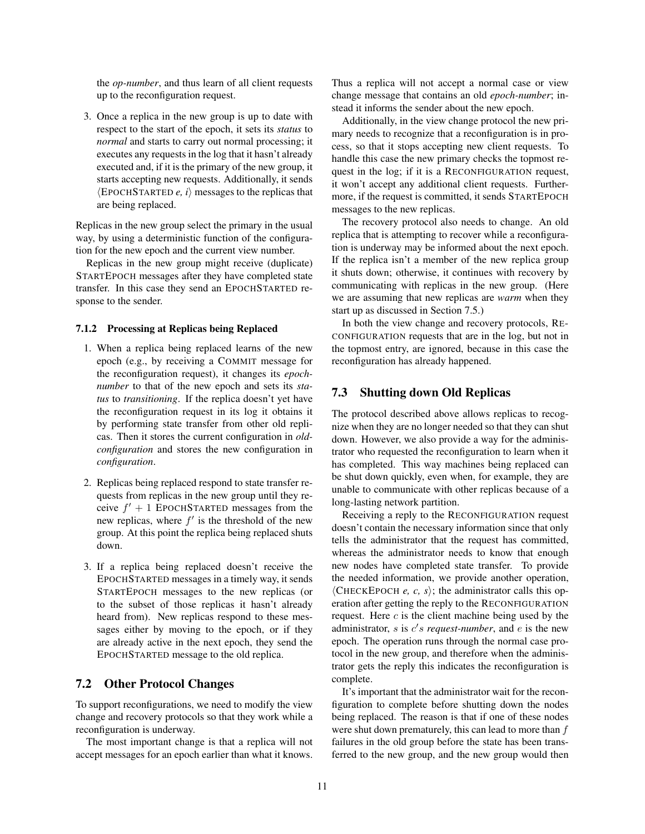the *op-number*, and thus learn of all client requests up to the reconfiguration request.

3. Once a replica in the new group is up to date with respect to the start of the epoch, it sets its *status* to *normal* and starts to carry out normal processing; it executes any requests in the log that it hasn't already executed and, if it is the primary of the new group, it starts accepting new requests. Additionally, it sends  $\langle$ EPOCHSTARTED *e, i* $\rangle$  messages to the replicas that are being replaced.

Replicas in the new group select the primary in the usual way, by using a deterministic function of the configuration for the new epoch and the current view number.

Replicas in the new group might receive (duplicate) STARTEPOCH messages after they have completed state transfer. In this case they send an EPOCHSTARTED response to the sender.

#### 7.1.2 Processing at Replicas being Replaced

- 1. When a replica being replaced learns of the new epoch (e.g., by receiving a COMMIT message for the reconfiguration request), it changes its *epochnumber* to that of the new epoch and sets its *status* to *transitioning*. If the replica doesn't yet have the reconfiguration request in its log it obtains it by performing state transfer from other old replicas. Then it stores the current configuration in *oldconfiguration* and stores the new configuration in *configuration*.
- 2. Replicas being replaced respond to state transfer requests from replicas in the new group until they receive  $f' + 1$  EPOCHSTARTED messages from the new replicas, where  $f'$  is the threshold of the new group. At this point the replica being replaced shuts down.
- 3. If a replica being replaced doesn't receive the EPOCHSTARTED messages in a timely way, it sends STARTEPOCH messages to the new replicas (or to the subset of those replicas it hasn't already heard from). New replicas respond to these messages either by moving to the epoch, or if they are already active in the next epoch, they send the EPOCHSTARTED message to the old replica.

#### 7.2 Other Protocol Changes

To support reconfigurations, we need to modify the view change and recovery protocols so that they work while a reconfiguration is underway.

The most important change is that a replica will not accept messages for an epoch earlier than what it knows. Thus a replica will not accept a normal case or view change message that contains an old *epoch-number*; instead it informs the sender about the new epoch.

Additionally, in the view change protocol the new primary needs to recognize that a reconfiguration is in process, so that it stops accepting new client requests. To handle this case the new primary checks the topmost request in the log; if it is a RECONFIGURATION request, it won't accept any additional client requests. Furthermore, if the request is committed, it sends STARTEPOCH messages to the new replicas.

The recovery protocol also needs to change. An old replica that is attempting to recover while a reconfiguration is underway may be informed about the next epoch. If the replica isn't a member of the new replica group it shuts down; otherwise, it continues with recovery by communicating with replicas in the new group. (Here we are assuming that new replicas are *warm* when they start up as discussed in Section 7.5.)

In both the view change and recovery protocols, RE-CONFIGURATION requests that are in the log, but not in the topmost entry, are ignored, because in this case the reconfiguration has already happened.

## 7.3 Shutting down Old Replicas

The protocol described above allows replicas to recognize when they are no longer needed so that they can shut down. However, we also provide a way for the administrator who requested the reconfiguration to learn when it has completed. This way machines being replaced can be shut down quickly, even when, for example, they are unable to communicate with other replicas because of a long-lasting network partition.

Receiving a reply to the RECONFIGURATION request doesn't contain the necessary information since that only tells the administrator that the request has committed, whereas the administrator needs to know that enough new nodes have completed state transfer. To provide the needed information, we provide another operation,  $\langle$ CHECKEPOCH *e, c, s* $\rangle$ ; the administrator calls this operation after getting the reply to the RECONFIGURATION request. Here  $c$  is the client machine being used by the administrator,  $s$  is  $c's$  *request-number*, and  $e$  is the new epoch. The operation runs through the normal case protocol in the new group, and therefore when the administrator gets the reply this indicates the reconfiguration is complete.

It's important that the administrator wait for the reconfiguration to complete before shutting down the nodes being replaced. The reason is that if one of these nodes were shut down prematurely, this can lead to more than  $f$ failures in the old group before the state has been transferred to the new group, and the new group would then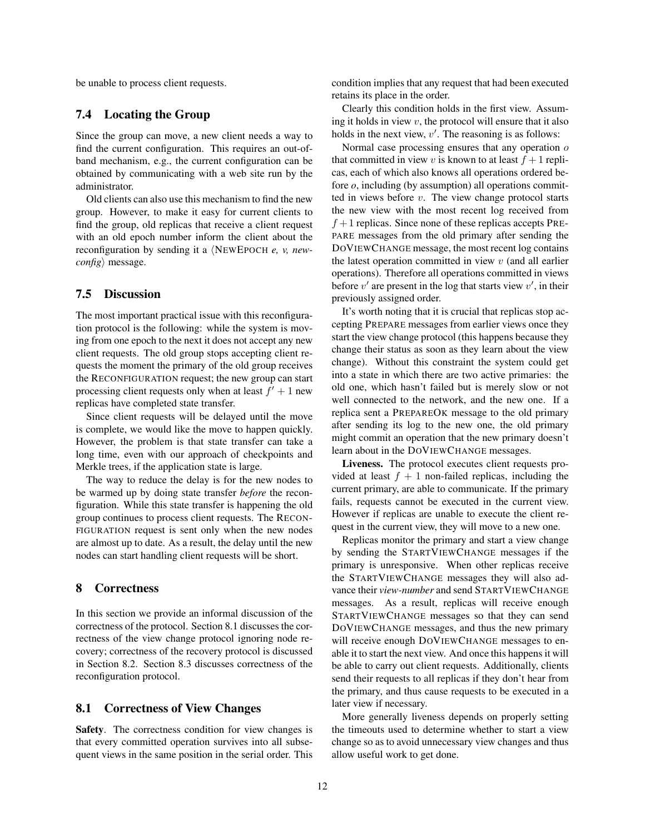be unable to process client requests.

#### 7.4 Locating the Group

Since the group can move, a new client needs a way to find the current configuration. This requires an out-ofband mechanism, e.g., the current configuration can be obtained by communicating with a web site run by the administrator.

Old clients can also use this mechanism to find the new group. However, to make it easy for current clients to find the group, old replicas that receive a client request with an old epoch number inform the client about the reconfiguration by sending it a  $\langle$ NEWEPOCH *e, v, newconfig* message.

## 7.5 Discussion

The most important practical issue with this reconfiguration protocol is the following: while the system is moving from one epoch to the next it does not accept any new client requests. The old group stops accepting client requests the moment the primary of the old group receives the RECONFIGURATION request; the new group can start processing client requests only when at least  $f' + 1$  new replicas have completed state transfer.

Since client requests will be delayed until the move is complete, we would like the move to happen quickly. However, the problem is that state transfer can take a long time, even with our approach of checkpoints and Merkle trees, if the application state is large.

The way to reduce the delay is for the new nodes to be warmed up by doing state transfer *before* the reconfiguration. While this state transfer is happening the old group continues to process client requests. The RECON-FIGURATION request is sent only when the new nodes are almost up to date. As a result, the delay until the new nodes can start handling client requests will be short.

### 8 Correctness

In this section we provide an informal discussion of the correctness of the protocol. Section 8.1 discusses the correctness of the view change protocol ignoring node recovery; correctness of the recovery protocol is discussed in Section 8.2. Section 8.3 discusses correctness of the reconfiguration protocol.

#### 8.1 Correctness of View Changes

Safety. The correctness condition for view changes is that every committed operation survives into all subsequent views in the same position in the serial order. This condition implies that any request that had been executed retains its place in the order.

Clearly this condition holds in the first view. Assuming it holds in view  $v$ , the protocol will ensure that it also holds in the next view,  $v'$ . The reasoning is as follows:

Normal case processing ensures that any operation of that committed in view v is known to at least  $f + 1$  replicas, each of which also knows all operations ordered before *o*, including (by assumption) all operations committed in views before  $v$ . The view change protocol starts the new view with the most recent log received from  $f + 1$  replicas. Since none of these replicas accepts PRE-PARE messages from the old primary after sending the DOVIEWCHANGE message, the most recent log contains the latest operation committed in view  $v$  (and all earlier operations). Therefore all operations committed in views before  $v'$  are present in the log that starts view  $v'$ , in their previously assigned order.

It's worth noting that it is crucial that replicas stop accepting PREPARE messages from earlier views once they start the view change protocol (this happens because they change their status as soon as they learn about the view change). Without this constraint the system could get into a state in which there are two active primaries: the old one, which hasn't failed but is merely slow or not well connected to the network, and the new one. If a replica sent a PREPAREOK message to the old primary after sending its log to the new one, the old primary might commit an operation that the new primary doesn't learn about in the DOVIEWCHANGE messages.

Liveness. The protocol executes client requests provided at least  $f + 1$  non-failed replicas, including the current primary, are able to communicate. If the primary fails, requests cannot be executed in the current view. However if replicas are unable to execute the client request in the current view, they will move to a new one.

Replicas monitor the primary and start a view change by sending the STARTVIEWCHANGE messages if the primary is unresponsive. When other replicas receive the STARTVIEWCHANGE messages they will also advance their *view-number* and send STARTVIEWCHANGE messages. As a result, replicas will receive enough STARTVIEWCHANGE messages so that they can send DOVIEWCHANGE messages, and thus the new primary will receive enough DOVIEWCHANGE messages to enable it to start the next view. And once this happens it will be able to carry out client requests. Additionally, clients send their requests to all replicas if they don't hear from the primary, and thus cause requests to be executed in a later view if necessary.

More generally liveness depends on properly setting the timeouts used to determine whether to start a view change so as to avoid unnecessary view changes and thus allow useful work to get done.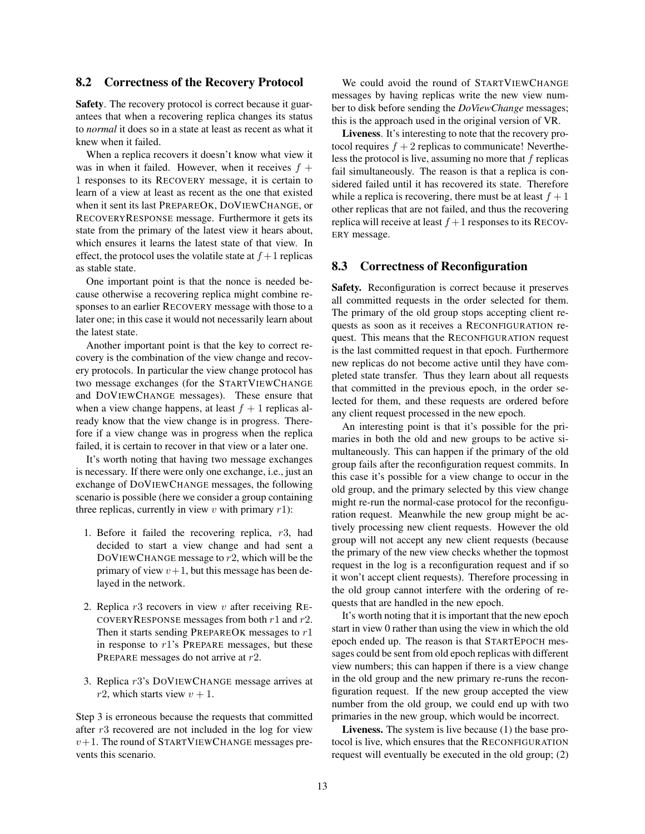#### 8.2 Correctness of the Recovery Protocol

Safety. The recovery protocol is correct because it guarantees that when a recovering replica changes its status to *normal* it does so in a state at least as recent as what it knew when it failed.

When a replica recovers it doesn't know what view it was in when it failed. However, when it receives  $f +$ 1 responses to its RECOVERY message, it is certain to learn of a view at least as recent as the one that existed when it sent its last PREPAREOK, DOVIEWCHANGE, or RECOVERYRESPONSE message. Furthermore it gets its state from the primary of the latest view it hears about, which ensures it learns the latest state of that view. In effect, the protocol uses the volatile state at  $f+1$  replicas as stable state.

One important point is that the nonce is needed because otherwise a recovering replica might combine responses to an earlier RECOVERY message with those to a later one; in this case it would not necessarily learn about the latest state.

Another important point is that the key to correct recovery is the combination of the view change and recovery protocols. In particular the view change protocol has two message exchanges (for the STARTVIEWCHANGE and DOVIEWCHANGE messages). These ensure that when a view change happens, at least  $f + 1$  replicas already know that the view change is in progress. Therefore if a view change was in progress when the replica failed, it is certain to recover in that view or a later one.

It's worth noting that having two message exchanges is necessary. If there were only one exchange, i.e., just an exchange of DOVIEWCHANGE messages, the following scenario is possible (here we consider a group containing three replicas, currently in view  $v$  with primary  $r1$ ):

- 1. Before it failed the recovering replica, r3, had decided to start a view change and had sent a DOVIEWCHANGE message to r2, which will be the primary of view  $v+1$ , but this message has been delayed in the network.
- 2. Replica  $r3$  recovers in view  $v$  after receiving RE-COVERYRESPONSE messages from both  $r1$  and  $r2$ . Then it starts sending PREPAREOK messages to  $r1$ in response to  $r1$ 's PREPARE messages, but these PREPARE messages do not arrive at r2.
- 3. Replica r3's DOVIEWCHANGE message arrives at  $r2$ , which starts view  $v + 1$ .

Step 3 is erroneous because the requests that committed after  $r3$  recovered are not included in the log for view  $v+1$ . The round of STARTVIEWCHANGE messages prevents this scenario.

We could avoid the round of STARTVIEWCHANGE messages by having replicas write the new view number to disk before sending the *DoViewChange* messages; this is the approach used in the original version of VR.

Liveness. It's interesting to note that the recovery protocol requires  $f + 2$  replicas to communicate! Nevertheless the protocol is live, assuming no more that  $f$  replicas fail simultaneously. The reason is that a replica is considered failed until it has recovered its state. Therefore while a replica is recovering, there must be at least  $f + 1$ other replicas that are not failed, and thus the recovering replica will receive at least  $f + 1$  responses to its RECOV-ERY message.

### 8.3 Correctness of Reconfiguration

Safety. Reconfiguration is correct because it preserves all committed requests in the order selected for them. The primary of the old group stops accepting client requests as soon as it receives a RECONFIGURATION request. This means that the RECONFIGURATION request is the last committed request in that epoch. Furthermore new replicas do not become active until they have completed state transfer. Thus they learn about all requests that committed in the previous epoch, in the order selected for them, and these requests are ordered before any client request processed in the new epoch.

An interesting point is that it's possible for the primaries in both the old and new groups to be active simultaneously. This can happen if the primary of the old group fails after the reconfiguration request commits. In this case it's possible for a view change to occur in the old group, and the primary selected by this view change might re-run the normal-case protocol for the reconfiguration request. Meanwhile the new group might be actively processing new client requests. However the old group will not accept any new client requests (because the primary of the new view checks whether the topmost request in the log is a reconfiguration request and if so it won't accept client requests). Therefore processing in the old group cannot interfere with the ordering of requests that are handled in the new epoch.

It's worth noting that it is important that the new epoch start in view 0 rather than using the view in which the old epoch ended up. The reason is that STARTEPOCH messages could be sent from old epoch replicas with different view numbers; this can happen if there is a view change in the old group and the new primary re-runs the reconfiguration request. If the new group accepted the view number from the old group, we could end up with two primaries in the new group, which would be incorrect.

Liveness. The system is live because (1) the base protocol is live, which ensures that the RECONFIGURATION request will eventually be executed in the old group; (2)